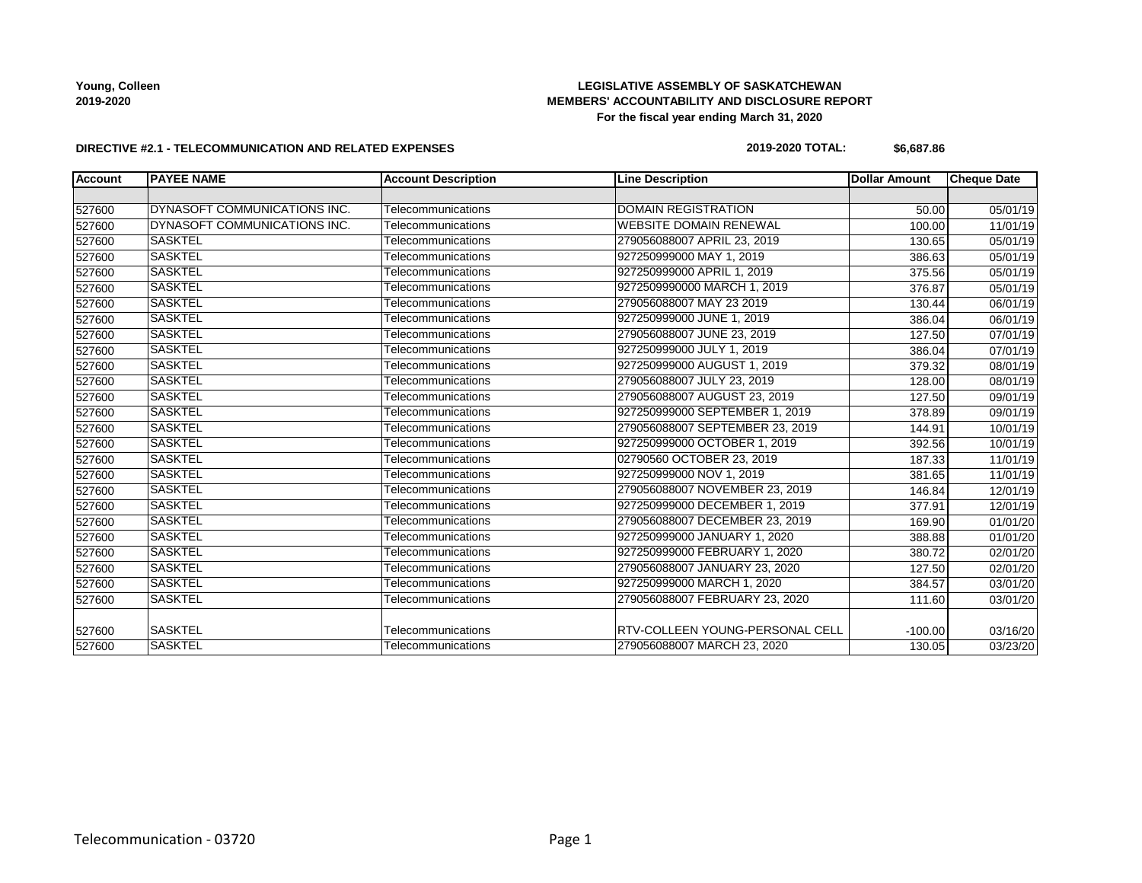# **LEGISLATIVE ASSEMBLY OF SASKATCHEWAN MEMBERS' ACCOUNTABILITY AND DISCLOSURE REPORT For the fiscal year ending March 31, 2020**

### **DIRECTIVE #2.1 - TELECOMMUNICATION AND RELATED EXPENSES**

#### **2019-2020 TOTAL: \$6,687.86**

| <b>Account</b> | <b>PAYEE NAME</b>            | <b>Account Description</b> | <b>Line Description</b>         | <b>Dollar Amount</b> | <b>Cheque Date</b>    |
|----------------|------------------------------|----------------------------|---------------------------------|----------------------|-----------------------|
|                |                              |                            |                                 |                      |                       |
| 527600         | DYNASOFT COMMUNICATIONS INC. | Telecommunications         | <b>DOMAIN REGISTRATION</b>      | 50.00                | 05/01/19              |
| 527600         | DYNASOFT COMMUNICATIONS INC. | Telecommunications         | <b>WEBSITE DOMAIN RENEWAL</b>   | 100.00               | 11/01/19              |
| 527600         | <b>SASKTEL</b>               | Telecommunications         | 279056088007 APRIL 23, 2019     | 130.65               | 05/01/19              |
| 527600         | <b>SASKTEL</b>               | Telecommunications         | 927250999000 MAY 1, 2019        | 386.63               | 05/01/19              |
| 527600         | <b>SASKTEL</b>               | Telecommunications         | 927250999000 APRIL 1, 2019      | 375.56               | 05/01/19              |
| 527600         | <b>SASKTEL</b>               | Telecommunications         | 9272509990000 MARCH 1, 2019     | 376.87               | 05/01/19              |
| 527600         | <b>SASKTEL</b>               | Telecommunications         | 279056088007 MAY 23 2019        | 130.44               | 06/01/19              |
| 527600         | <b>SASKTEL</b>               | Telecommunications         | 927250999000 JUNE 1, 2019       | 386.04               | 06/01/19              |
| 527600         | <b>SASKTEL</b>               | Telecommunications         | 279056088007 JUNE 23, 2019      | 127.50               | 07/01/19              |
| 527600         | <b>SASKTEL</b>               | Telecommunications         | 927250999000 JULY 1, 2019       | 386.04               | 07/01/19              |
| 527600         | <b>SASKTEL</b>               | Telecommunications         | 927250999000 AUGUST 1, 2019     | 379.32               | 08/01/19              |
| 527600         | <b>SASKTEL</b>               | Telecommunications         | 279056088007 JULY 23, 2019      | 128.00               | 08/01/19              |
| 527600         | <b>SASKTEL</b>               | Telecommunications         | 279056088007 AUGUST 23, 2019    | 127.50               | 09/01/19              |
| 527600         | <b>SASKTEL</b>               | Telecommunications         | 927250999000 SEPTEMBER 1, 2019  | 378.89               | 09/01/19              |
| 527600         | <b>SASKTEL</b>               | Telecommunications         | 279056088007 SEPTEMBER 23, 2019 | 144.91               | 10/01/19              |
| 527600         | <b>SASKTEL</b>               | Telecommunications         | 927250999000 OCTOBER 1, 2019    | 392.56               | 10/01/19              |
| 527600         | <b>SASKTEL</b>               | Telecommunications         | 02790560 OCTOBER 23, 2019       | 187.33               | 11/01/19              |
| 527600         | <b>SASKTEL</b>               | Telecommunications         | 927250999000 NOV 1, 2019        | 381.65               | 11/01/19              |
| 527600         | <b>SASKTEL</b>               | Telecommunications         | 279056088007 NOVEMBER 23, 2019  | 146.84               | 12/01/19              |
| 527600         | <b>SASKTEL</b>               | Telecommunications         | 927250999000 DECEMBER 1, 2019   | 377.91               | 12/01/19              |
| 527600         | <b>SASKTEL</b>               | Telecommunications         | 279056088007 DECEMBER 23, 2019  | 169.90               | $\overline{01}/01/20$ |
| 527600         | <b>SASKTEL</b>               | Telecommunications         | 927250999000 JANUARY 1, 2020    | 388.88               | 01/01/20              |
| 527600         | <b>SASKTEL</b>               | Telecommunications         | 927250999000 FEBRUARY 1, 2020   | 380.72               | 02/01/20              |
| 527600         | <b>SASKTEL</b>               | Telecommunications         | 279056088007 JANUARY 23, 2020   | 127.50               | 02/01/20              |
| 527600         | <b>SASKTEL</b>               | Telecommunications         | 927250999000 MARCH 1, 2020      | 384.57               | 03/01/20              |
| 527600         | <b>SASKTEL</b>               | Telecommunications         | 279056088007 FEBRUARY 23, 2020  | 111.60               | 03/01/20              |
| 527600         | <b>SASKTEL</b>               | Telecommunications         | RTV-COLLEEN YOUNG-PERSONAL CELL | $-100.00$            | 03/16/20              |
| 527600         | <b>SASKTEL</b>               | Telecommunications         | 279056088007 MARCH 23, 2020     | 130.05               | 03/23/20              |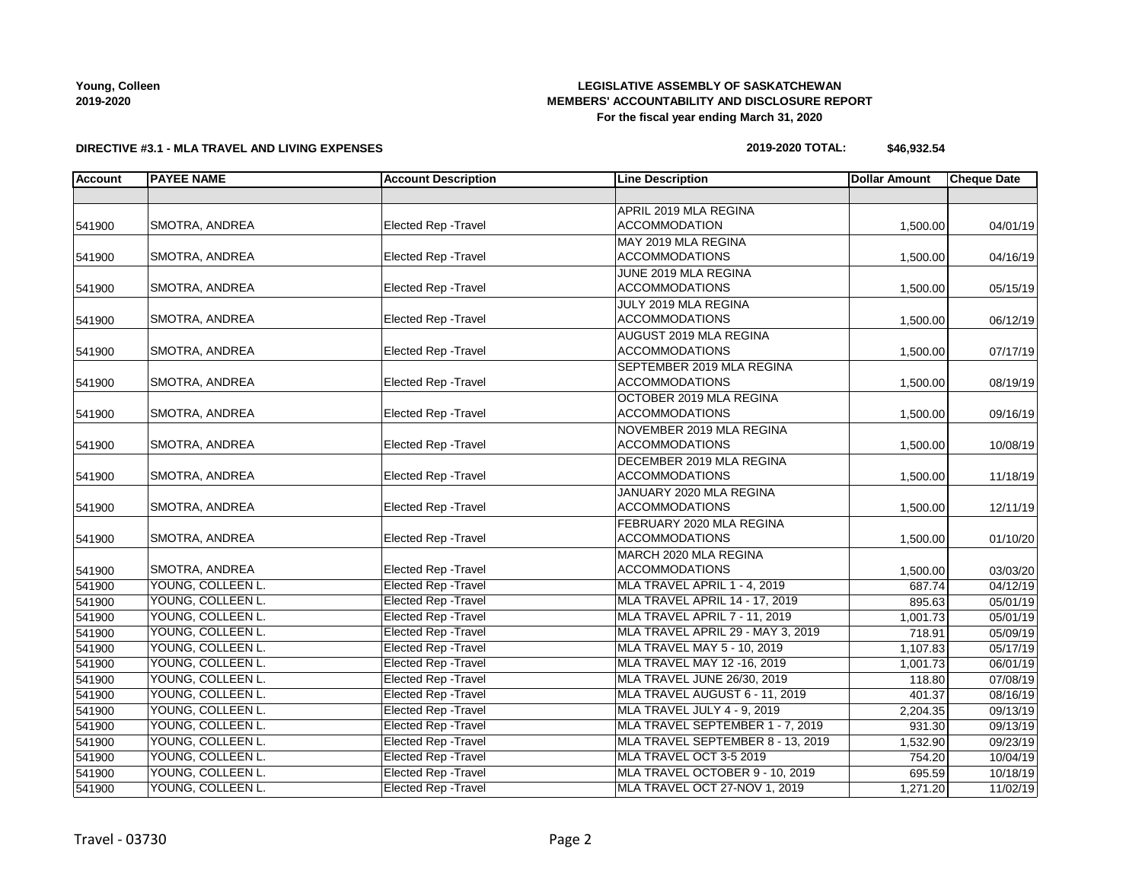### **LEGISLATIVE ASSEMBLY OF SASKATCHEWAN MEMBERS' ACCOUNTABILITY AND DISCLOSURE REPORT For the fiscal year ending March 31, 2020**

**DIRECTIVE #3.1 - MLA TRAVEL AND LIVING EXPENSES**

### **2019-2020 TOTAL: \$46,932.54**

| <b>Account</b> | <b>PAYEE NAME</b>     | <b>Account Description</b>  | <b>Line Description</b>               | <b>Dollar Amount</b> | <b>Cheque Date</b> |
|----------------|-----------------------|-----------------------------|---------------------------------------|----------------------|--------------------|
|                |                       |                             |                                       |                      |                    |
|                |                       |                             | APRIL 2019 MLA REGINA                 |                      |                    |
| 541900         | SMOTRA, ANDREA        | Elected Rep - Travel        | <b>ACCOMMODATION</b>                  | 1,500.00             | 04/01/19           |
|                |                       |                             | MAY 2019 MLA REGINA                   |                      |                    |
| 541900         | <b>SMOTRA, ANDREA</b> | Elected Rep - Travel        | <b>ACCOMMODATIONS</b>                 | 1,500.00             | 04/16/19           |
|                |                       |                             | JUNE 2019 MLA REGINA                  |                      |                    |
| 541900         | SMOTRA, ANDREA        | Elected Rep - Travel        | <b>ACCOMMODATIONS</b>                 | 1,500.00             | 05/15/19           |
|                |                       |                             | JULY 2019 MLA REGINA                  |                      |                    |
| 541900         | <b>SMOTRA, ANDREA</b> | Elected Rep - Travel        | <b>ACCOMMODATIONS</b>                 | 1,500.00             | 06/12/19           |
|                |                       |                             | AUGUST 2019 MLA REGINA                |                      |                    |
| 541900         | SMOTRA, ANDREA        | Elected Rep - Travel        | <b>ACCOMMODATIONS</b>                 | 1,500.00             | 07/17/19           |
|                |                       |                             | SEPTEMBER 2019 MLA REGINA             |                      |                    |
| 541900         | <b>SMOTRA, ANDREA</b> | <b>Elected Rep - Travel</b> | <b>ACCOMMODATIONS</b>                 | 1,500.00             | 08/19/19           |
|                |                       |                             | OCTOBER 2019 MLA REGINA               |                      |                    |
| 541900         | SMOTRA, ANDREA        | <b>Elected Rep - Travel</b> | <b>ACCOMMODATIONS</b>                 | 1,500.00             | 09/16/19           |
|                |                       |                             | NOVEMBER 2019 MLA REGINA              |                      |                    |
| 541900         | <b>SMOTRA, ANDREA</b> | <b>Elected Rep - Travel</b> | <b>ACCOMMODATIONS</b>                 | 1,500.00             | 10/08/19           |
|                |                       |                             | DECEMBER 2019 MLA REGINA              |                      |                    |
| 541900         | SMOTRA, ANDREA        | Elected Rep - Travel        | <b>ACCOMMODATIONS</b>                 | 1,500.00             | 11/18/19           |
|                |                       |                             | JANUARY 2020 MLA REGINA               |                      |                    |
| 541900         | SMOTRA, ANDREA        | Elected Rep - Travel        | <b>ACCOMMODATIONS</b>                 | 1,500.00             | 12/11/19           |
|                |                       |                             | FEBRUARY 2020 MLA REGINA              |                      |                    |
| 541900         | SMOTRA, ANDREA        | Elected Rep - Travel        | <b>ACCOMMODATIONS</b>                 | 1,500.00             | 01/10/20           |
|                |                       |                             | MARCH 2020 MLA REGINA                 |                      |                    |
| 541900         | <b>SMOTRA, ANDREA</b> | Elected Rep - Travel        | <b>ACCOMMODATIONS</b>                 | 1,500.00             | 03/03/20           |
| 541900         | YOUNG, COLLEEN L.     | <b>Elected Rep - Travel</b> | MLA TRAVEL APRIL 1 - 4, 2019          | 687.74               | 04/12/19           |
| 541900         | YOUNG, COLLEEN L.     | <b>Elected Rep - Travel</b> | <b>MLA TRAVEL APRIL 14 - 17, 2019</b> | 895.63               | 05/01/19           |
| 541900         | YOUNG, COLLEEN L.     | Elected Rep - Travel        | <b>MLA TRAVEL APRIL 7 - 11, 2019</b>  | 1,001.73             | 05/01/19           |
| 541900         | YOUNG, COLLEEN L.     | <b>Elected Rep - Travel</b> | MLA TRAVEL APRIL 29 - MAY 3, 2019     | 718.91               | 05/09/19           |
| 541900         | YOUNG, COLLEEN L.     | <b>Elected Rep - Travel</b> | MLA TRAVEL MAY 5 - 10, 2019           | 1,107.83             | 05/17/19           |
| 541900         | YOUNG, COLLEEN L.     | <b>Elected Rep - Travel</b> | MLA TRAVEL MAY 12 -16, 2019           | 1,001.73             | 06/01/19           |
| 541900         | YOUNG, COLLEEN L.     | <b>Elected Rep - Travel</b> | MLA TRAVEL JUNE 26/30, 2019           | 118.80               | 07/08/19           |
| 541900         | YOUNG, COLLEEN L.     | <b>Elected Rep - Travel</b> | MLA TRAVEL AUGUST 6 - 11, 2019        | 401.37               | 08/16/19           |
| 541900         | YOUNG, COLLEEN L.     | <b>Elected Rep - Travel</b> | MLA TRAVEL JULY 4 - 9, 2019           | 2,204.35             | 09/13/19           |
| 541900         | YOUNG, COLLEEN L.     | <b>Elected Rep - Travel</b> | MLA TRAVEL SEPTEMBER 1 - 7, 2019      | 931.30               | 09/13/19           |
| 541900         | YOUNG, COLLEEN L.     | <b>Elected Rep - Travel</b> | MLA TRAVEL SEPTEMBER 8 - 13, 2019     | 1,532.90             | 09/23/19           |
| 541900         | YOUNG, COLLEEN L.     | <b>Elected Rep - Travel</b> | MLA TRAVEL OCT 3-5 2019               | 754.20               | 10/04/19           |
| 541900         | YOUNG, COLLEEN L.     | <b>Elected Rep - Travel</b> | MLA TRAVEL OCTOBER 9 - 10, 2019       | 695.59               | 10/18/19           |
| 541900         | YOUNG, COLLEEN L.     | Elected Rep - Travel        | MLA TRAVEL OCT 27-NOV 1, 2019         | 1,271.20             | 11/02/19           |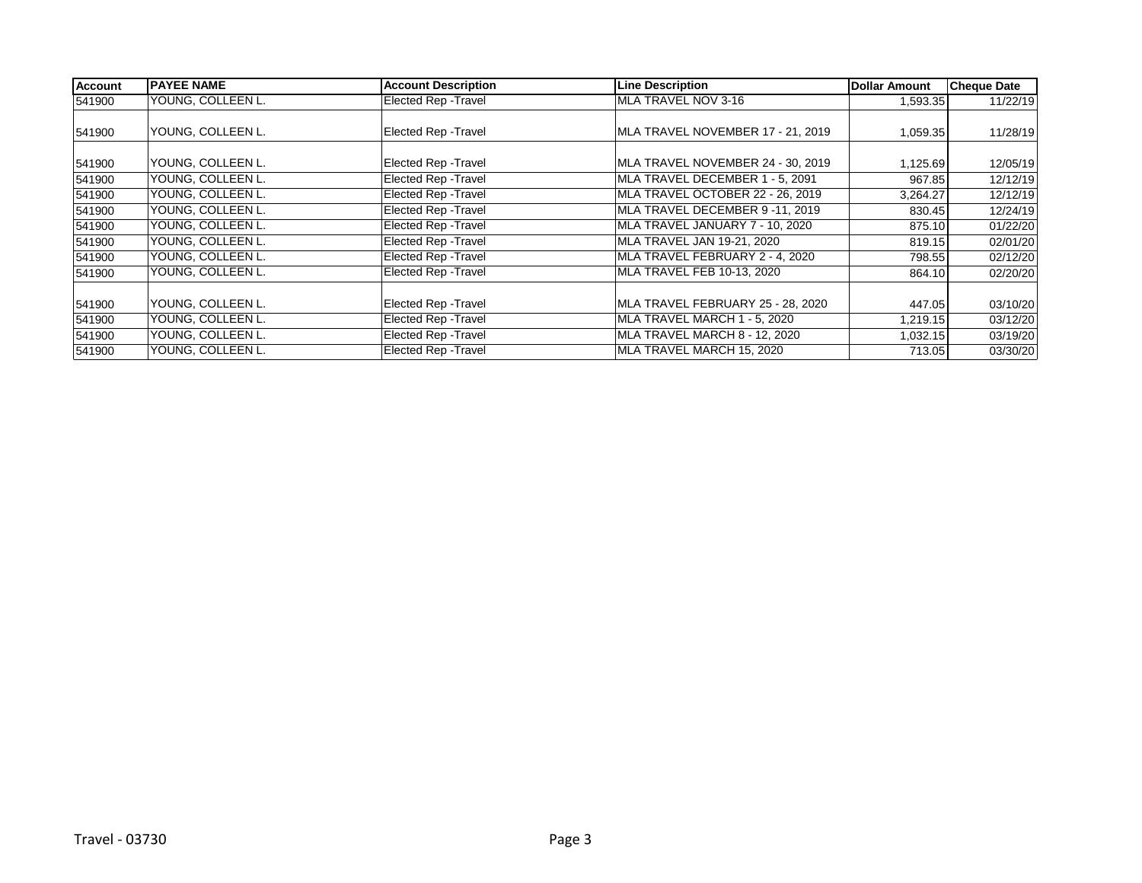| <b>Account</b> | <b>PAYEE NAME</b> | <b>Account Description</b>  | <b>Line Description</b>           | <b>Dollar Amount</b> | <b>Cheque Date</b> |
|----------------|-------------------|-----------------------------|-----------------------------------|----------------------|--------------------|
| 541900         | YOUNG, COLLEEN L. | <b>Elected Rep - Travel</b> | MLA TRAVEL NOV 3-16               | 1,593.35             | 11/22/19           |
|                |                   |                             |                                   |                      |                    |
| 541900         | YOUNG, COLLEEN L. | Elected Rep - Travel        | MLA TRAVEL NOVEMBER 17 - 21, 2019 | 1,059.35             | 11/28/19           |
|                |                   |                             |                                   |                      |                    |
| 541900         | YOUNG, COLLEEN L. | Elected Rep - Travel        | MLA TRAVEL NOVEMBER 24 - 30, 2019 | 1,125.69             | 12/05/19           |
| 541900         | YOUNG, COLLEEN L. | Elected Rep - Travel        | MLA TRAVEL DECEMBER 1 - 5, 2091   | 967.85               | 12/12/19           |
| 541900         | YOUNG, COLLEEN L. | Elected Rep - Travel        | MLA TRAVEL OCTOBER 22 - 26, 2019  | 3,264.27             | 12/12/19           |
| 541900         | YOUNG, COLLEEN L. | Elected Rep - Travel        | MLA TRAVEL DECEMBER 9-11, 2019    | 830.45               | 12/24/19           |
| 541900         | YOUNG, COLLEEN L. | <b>Elected Rep - Travel</b> | MLA TRAVEL JANUARY 7 - 10, 2020   | 875.10               | 01/22/20           |
| 541900         | YOUNG, COLLEEN L. | Elected Rep - Travel        | MLA TRAVEL JAN 19-21, 2020        | 819.15               | 02/01/20           |
| 541900         | YOUNG, COLLEEN L. | Elected Rep - Travel        | MLA TRAVEL FEBRUARY 2 - 4, 2020   | 798.55               | 02/12/20           |
| 541900         | YOUNG, COLLEEN L. | <b>Elected Rep - Travel</b> | MLA TRAVEL FEB 10-13, 2020        | 864.10               | 02/20/20           |
|                |                   |                             |                                   |                      |                    |
| 541900         | YOUNG, COLLEEN L. | Elected Rep - Travel        | MLA TRAVEL FEBRUARY 25 - 28, 2020 | 447.05               | 03/10/20           |
| 541900         | YOUNG, COLLEEN L. | <b>Elected Rep - Travel</b> | MLA TRAVEL MARCH 1 - 5, 2020      | 1,219.15             | 03/12/20           |
| 541900         | YOUNG, COLLEEN L. | Elected Rep - Travel        | MLA TRAVEL MARCH 8 - 12, 2020     | 1,032.15             | 03/19/20           |
| 541900         | YOUNG, COLLEEN L. | Elected Rep - Travel        | MLA TRAVEL MARCH 15, 2020         | 713.05               | 03/30/20           |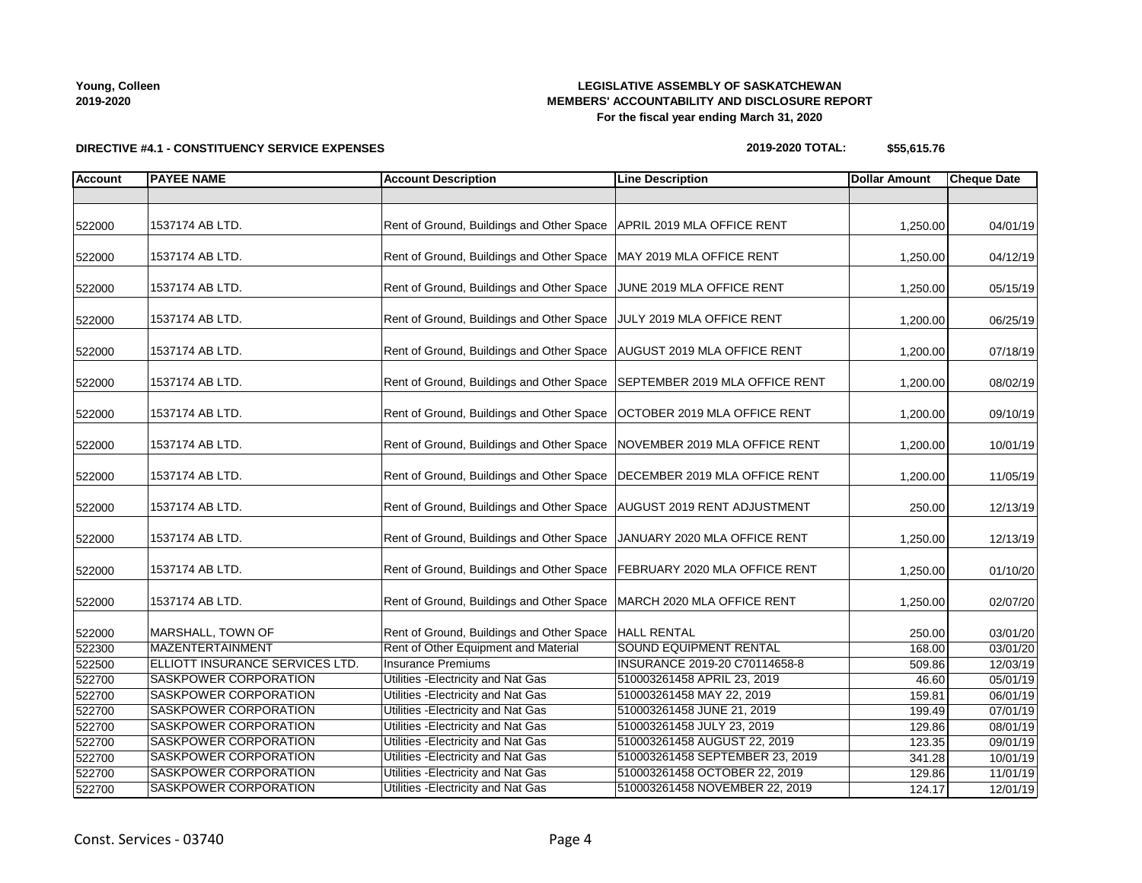**DIRECTIVE #4.1 - CONSTITUENCY SERVICE EXPENSES**

# **LEGISLATIVE ASSEMBLY OF SASKATCHEWAN MEMBERS' ACCOUNTABILITY AND DISCLOSURE REPORT For the fiscal year ending March 31, 2020**

**2019-2020 TOTAL: \$55,615.76**

| <b>Account</b>   | <b>PAYEE NAME</b>                                     | <b>Account Description</b>                                                 | <b>Line Description</b>                                  | <b>Dollar Amount</b> | <b>Cheque Date</b>   |
|------------------|-------------------------------------------------------|----------------------------------------------------------------------------|----------------------------------------------------------|----------------------|----------------------|
|                  |                                                       |                                                                            |                                                          |                      |                      |
| 522000           | 1537174 AB LTD.                                       | Rent of Ground, Buildings and Other Space   APRIL 2019 MLA OFFICE RENT     |                                                          | 1,250.00             | 04/01/19             |
| 522000           | 1537174 AB LTD.                                       | Rent of Ground, Buildings and Other Space   MAY 2019 MLA OFFICE RENT       |                                                          | 1,250.00             | 04/12/19             |
| 522000           | 1537174 AB LTD.                                       | Rent of Ground, Buildings and Other Space JUNE 2019 MLA OFFICE RENT        |                                                          | 1,250.00             | 05/15/19             |
| 522000           | 1537174 AB LTD.                                       | Rent of Ground, Buildings and Other Space JULY 2019 MLA OFFICE RENT        |                                                          | 1,200.00             | 06/25/19             |
| 522000           | 1537174 AB LTD.                                       | Rent of Ground, Buildings and Other Space   AUGUST 2019 MLA OFFICE RENT    |                                                          | 1,200.00             | 07/18/19             |
| 522000           | 1537174 AB LTD.                                       | Rent of Ground, Buildings and Other Space                                  | SEPTEMBER 2019 MLA OFFICE RENT                           | 1,200.00             | 08/02/19             |
| 522000           | 1537174 AB LTD.                                       | Rent of Ground, Buildings and Other Space                                  | OCTOBER 2019 MLA OFFICE RENT                             | 1,200.00             | 09/10/19             |
| 522000           | 1537174 AB LTD.                                       | Rent of Ground, Buildings and Other Space   NOVEMBER 2019 MLA OFFICE RENT  |                                                          | 1,200.00             | 10/01/19             |
| 522000           | 1537174 AB LTD.                                       | Rent of Ground, Buildings and Other Space   DECEMBER 2019 MLA OFFICE RENT  |                                                          | 1,200.00             | 11/05/19             |
| 522000           | 1537174 AB LTD.                                       | Rent of Ground, Buildings and Other Space   AUGUST 2019 RENT ADJUSTMENT    |                                                          | 250.00               | 12/13/19             |
| 522000           | 1537174 AB LTD.                                       | Rent of Ground, Buildings and Other Space   JANUARY 2020 MLA OFFICE RENT   |                                                          | 1,250.00             | 12/13/19             |
| 522000           | 1537174 AB LTD.                                       | Rent of Ground, Buildings and Other Space   FEBRUARY 2020 MLA OFFICE RENT  |                                                          | 1,250.00             | 01/10/20             |
| 522000           | 1537174 AB LTD.                                       | Rent of Ground, Buildings and Other Space                                  | MARCH 2020 MLA OFFICE RENT                               | 1,250.00             | 02/07/20             |
| 522000           | MARSHALL, TOWN OF                                     | Rent of Ground, Buildings and Other Space                                  | <b>HALL RENTAL</b>                                       | 250.00               | 03/01/20             |
| 522300           | MAZENTERTAINMENT                                      | Rent of Other Equipment and Material                                       | <b>SOUND EQUIPMENT RENTAL</b>                            | 168.00               | 03/01/20             |
| 522500           | ELLIOTT INSURANCE SERVICES LTD.                       | <b>Insurance Premiums</b>                                                  | INSURANCE 2019-20 C70114658-8                            | 509.86               | 12/03/19             |
| 522700           | SASKPOWER CORPORATION                                 | Utilities - Electricity and Nat Gas                                        | 510003261458 APRIL 23, 2019                              | 46.60                | 05/01/19             |
| 522700           | SASKPOWER CORPORATION                                 | Utilities - Electricity and Nat Gas                                        | 510003261458 MAY 22, 2019                                | 159.81               | 06/01/19             |
| 522700           | SASKPOWER CORPORATION<br><b>SASKPOWER CORPORATION</b> | Utilities - Electricity and Nat Gas<br>Utilities - Electricity and Nat Gas | 510003261458 JUNE 21, 2019<br>510003261458 JULY 23, 2019 | 199.49               | 07/01/19             |
| 522700           | SASKPOWER CORPORATION                                 | Utilities - Electricity and Nat Gas                                        | 510003261458 AUGUST 22, 2019                             | 129.86<br>123.35     | 08/01/19<br>09/01/19 |
| 522700<br>522700 | SASKPOWER CORPORATION                                 | Utilities - Electricity and Nat Gas                                        | 510003261458 SEPTEMBER 23, 2019                          | 341.28               |                      |
| 522700           | SASKPOWER CORPORATION                                 | Utilities - Electricity and Nat Gas                                        | 510003261458 OCTOBER 22, 2019                            | 129.86               | 10/01/19<br>11/01/19 |
| 522700           | SASKPOWER CORPORATION                                 | Utilities - Electricity and Nat Gas                                        | 510003261458 NOVEMBER 22, 2019                           | 124.17               | 12/01/19             |
|                  |                                                       |                                                                            |                                                          |                      |                      |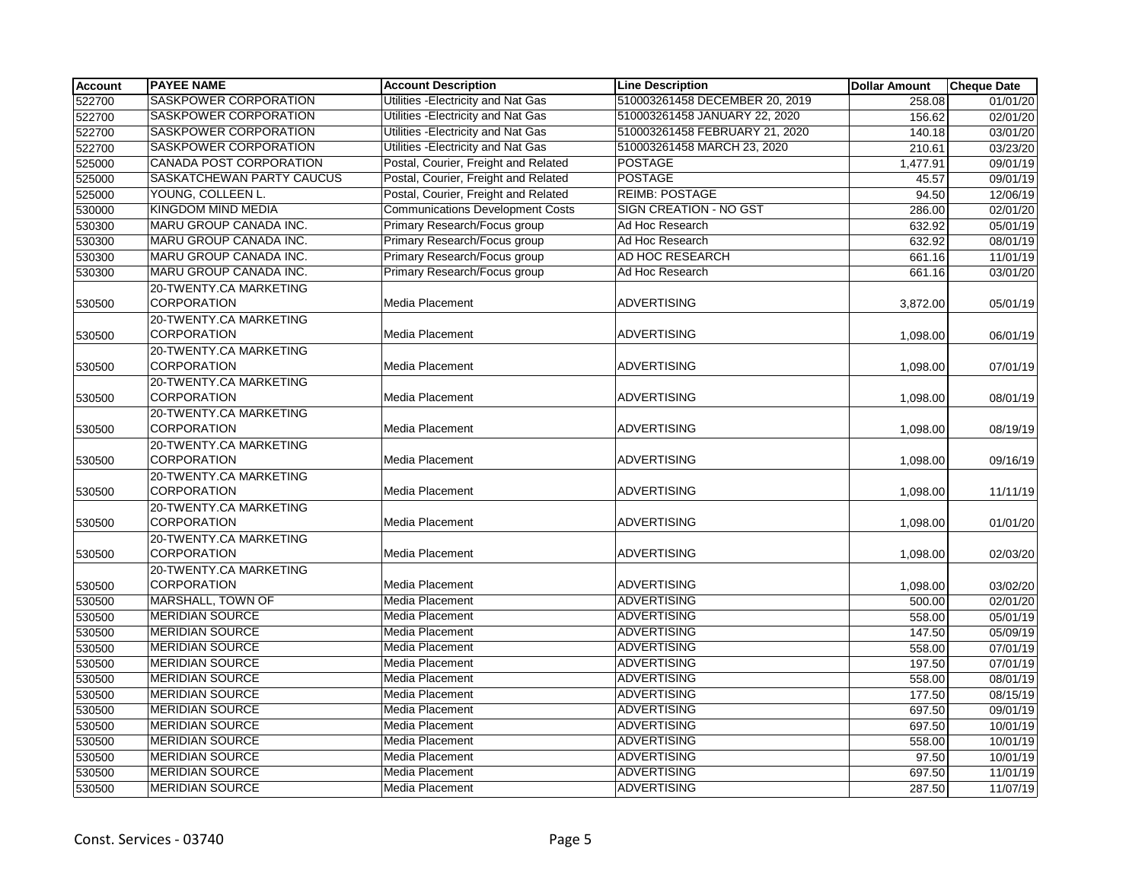| <b>Account</b> | <b>PAYEE NAME</b>            | <b>Account Description</b>              | <b>Line Description</b>        | <b>Dollar Amount</b> | <b>Cheque Date</b>    |
|----------------|------------------------------|-----------------------------------------|--------------------------------|----------------------|-----------------------|
| 522700         | <b>SASKPOWER CORPORATION</b> | Utilities - Electricity and Nat Gas     | 510003261458 DECEMBER 20, 2019 | 258.08               | 01/01/20              |
| 522700         | SASKPOWER CORPORATION        | Utilities - Electricity and Nat Gas     | 510003261458 JANUARY 22, 2020  | 156.62               | 02/01/20              |
| 522700         | SASKPOWER CORPORATION        | Utilities - Electricity and Nat Gas     | 510003261458 FEBRUARY 21, 2020 | 140.18               | 03/01/20              |
| 522700         | SASKPOWER CORPORATION        | Utilities - Electricity and Nat Gas     | 510003261458 MARCH 23, 2020    | 210.61               | 03/23/20              |
| 525000         | CANADA POST CORPORATION      | Postal, Courier, Freight and Related    | <b>POSTAGE</b>                 | 1,477.91             | 09/01/19              |
| 525000         | SASKATCHEWAN PARTY CAUCUS    | Postal, Courier, Freight and Related    | <b>POSTAGE</b>                 | 45.57                | 09/01/19              |
| 525000         | YOUNG, COLLEEN L.            | Postal, Courier, Freight and Related    | <b>REIMB: POSTAGE</b>          | 94.50                | 12/06/19              |
| 530000         | <b>KINGDOM MIND MEDIA</b>    | <b>Communications Development Costs</b> | <b>SIGN CREATION - NO GST</b>  | 286.00               | 02/01/20              |
| 530300         | MARU GROUP CANADA INC.       | Primary Research/Focus group            | Ad Hoc Research                | 632.92               | 05/01/19              |
| 530300         | MARU GROUP CANADA INC.       | Primary Research/Focus group            | Ad Hoc Research                | 632.92               | 08/01/19              |
| 530300         | MARU GROUP CANADA INC.       | Primary Research/Focus group            | AD HOC RESEARCH                | 661.16               | 11/01/19              |
| 530300         | MARU GROUP CANADA INC.       | Primary Research/Focus group            | Ad Hoc Research                | 661.16               | 03/01/20              |
|                | 20-TWENTY.CA MARKETING       |                                         |                                |                      |                       |
| 530500         | <b>CORPORATION</b>           | <b>Media Placement</b>                  | <b>ADVERTISING</b>             | 3,872.00             | 05/01/19              |
|                | 20-TWENTY.CA MARKETING       |                                         |                                |                      |                       |
| 530500         | <b>CORPORATION</b>           | Media Placement                         | <b>ADVERTISING</b>             | 1,098.00             | 06/01/19              |
|                | 20-TWENTY.CA MARKETING       |                                         |                                |                      |                       |
| 530500         | <b>CORPORATION</b>           | Media Placement                         | <b>ADVERTISING</b>             | 1,098.00             | 07/01/19              |
|                | 20-TWENTY.CA MARKETING       |                                         |                                |                      |                       |
| 530500         | <b>CORPORATION</b>           | Media Placement                         | <b>ADVERTISING</b>             | 1,098.00             | 08/01/19              |
|                | 20-TWENTY.CA MARKETING       |                                         |                                |                      |                       |
| 530500         | <b>CORPORATION</b>           | Media Placement                         | <b>ADVERTISING</b>             | 1,098.00             | 08/19/19              |
|                | 20-TWENTY.CA MARKETING       |                                         |                                |                      |                       |
| 530500         | <b>CORPORATION</b>           | Media Placement                         | <b>ADVERTISING</b>             | 1,098.00             | 09/16/19              |
|                | 20-TWENTY.CA MARKETING       |                                         |                                |                      |                       |
| 530500         | <b>CORPORATION</b>           | Media Placement                         | <b>ADVERTISING</b>             | 1,098.00             | 11/11/19              |
|                | 20-TWENTY.CA MARKETING       |                                         |                                |                      |                       |
| 530500         | <b>CORPORATION</b>           | Media Placement                         | <b>ADVERTISING</b>             | 1,098.00             | 01/01/20              |
|                | 20-TWENTY.CA MARKETING       |                                         |                                |                      |                       |
| 530500         | <b>CORPORATION</b>           | <b>Media Placement</b>                  | <b>ADVERTISING</b>             | 1,098.00             | 02/03/20              |
|                | 20-TWENTY.CA MARKETING       |                                         |                                |                      |                       |
| 530500         | <b>CORPORATION</b>           | <b>Media Placement</b>                  | <b>ADVERTISING</b>             | 1,098.00             | 03/02/20              |
| 530500         | MARSHALL, TOWN OF            | Media Placement                         | <b>ADVERTISING</b>             | 500.00               | 02/01/20              |
| 530500         | <b>MERIDIAN SOURCE</b>       | Media Placement                         | <b>ADVERTISING</b>             | 558.00               | 05/01/19              |
| 530500         | <b>MERIDIAN SOURCE</b>       | <b>Media Placement</b>                  | <b>ADVERTISING</b>             | 147.50               | 05/09/19              |
| 530500         | <b>MERIDIAN SOURCE</b>       | <b>Media Placement</b>                  | <b>ADVERTISING</b>             | 558.00               | $\overline{07/0}1/19$ |
| 530500         | <b>MERIDIAN SOURCE</b>       | Media Placement                         | ADVERTISING                    | 197.50               | 07/01/19              |
| 530500         | <b>MERIDIAN SOURCE</b>       | Media Placement                         | ADVERTISING                    | 558.00               | 08/01/19              |
| 530500         | <b>MERIDIAN SOURCE</b>       | Media Placement                         | <b>ADVERTISING</b>             | 177.50               | 08/15/19              |
| 530500         | <b>MERIDIAN SOURCE</b>       | <b>Media Placement</b>                  | <b>ADVERTISING</b>             | 697.50               | 09/01/19              |
| 530500         | <b>MERIDIAN SOURCE</b>       | Media Placement                         | <b>ADVERTISING</b>             | 697.50               | 10/01/19              |
| 530500         | <b>MERIDIAN SOURCE</b>       | Media Placement                         | ADVERTISING                    | 558.00               | 10/01/19              |
| 530500         | <b>MERIDIAN SOURCE</b>       | Media Placement                         | <b>ADVERTISING</b>             | 97.50                | 10/01/19              |
| 530500         | <b>MERIDIAN SOURCE</b>       | <b>Media Placement</b>                  | <b>ADVERTISING</b>             | 697.50               | 11/01/19              |
| 530500         | <b>MERIDIAN SOURCE</b>       | <b>Media Placement</b>                  | <b>ADVERTISING</b>             | 287.50               | 11/07/19              |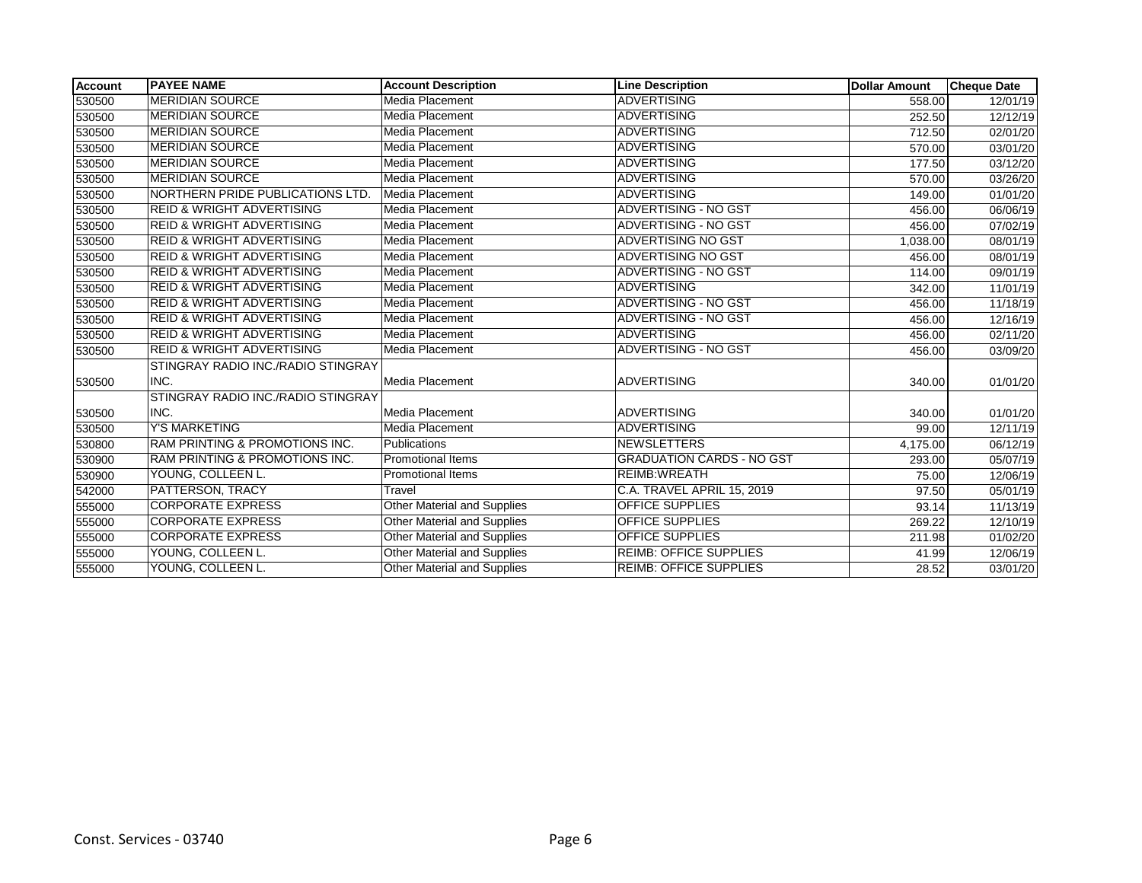| <b>Account</b> | <b>PAYEE NAME</b>                         | <b>Account Description</b>  | <b>Line Description</b>          | <b>Dollar Amount</b> | <b>Cheque Date</b> |
|----------------|-------------------------------------------|-----------------------------|----------------------------------|----------------------|--------------------|
| 530500         | <b>MERIDIAN SOURCE</b>                    | Media Placement             | <b>ADVERTISING</b>               | 558.00               | 12/01/19           |
| 530500         | <b>MERIDIAN SOURCE</b>                    | Media Placement             | <b>ADVERTISING</b>               | 252.50               | 12/12/19           |
| 530500         | <b>MERIDIAN SOURCE</b>                    | Media Placement             | <b>ADVERTISING</b>               | 712.50               | 02/01/20           |
| 530500         | <b>MERIDIAN SOURCE</b>                    | Media Placement             | <b>ADVERTISING</b>               | 570.00               | 03/01/20           |
| 530500         | MERIDIAN SOURCE                           | Media Placement             | <b>ADVERTISING</b>               | 177.50               | 03/12/20           |
| 530500         | <b>MERIDIAN SOURCE</b>                    | Media Placement             | <b>ADVERTISING</b>               | 570.00               | 03/26/20           |
| 530500         | NORTHERN PRIDE PUBLICATIONS LTD.          | Media Placement             | <b>ADVERTISING</b>               | 149.00               | 01/01/20           |
| 530500         | <b>REID &amp; WRIGHT ADVERTISING</b>      | Media Placement             | <b>ADVERTISING - NO GST</b>      | 456.00               | 06/06/19           |
| 530500         | <b>REID &amp; WRIGHT ADVERTISING</b>      | Media Placement             | ADVERTISING - NO GST             | 456.00               | 07/02/19           |
| 530500         | <b>REID &amp; WRIGHT ADVERTISING</b>      | Media Placement             | <b>ADVERTISING NO GST</b>        | 1,038.00             | 08/01/19           |
| 530500         | <b>REID &amp; WRIGHT ADVERTISING</b>      | Media Placement             | <b>ADVERTISING NO GST</b>        | 456.00               | 08/01/19           |
| 530500         | <b>REID &amp; WRIGHT ADVERTISING</b>      | Media Placement             | <b>ADVERTISING - NO GST</b>      | 114.00               | 09/01/19           |
| 530500         | <b>REID &amp; WRIGHT ADVERTISING</b>      | Media Placement             | <b>ADVERTISING</b>               | 342.00               | 11/01/19           |
| 530500         | <b>REID &amp; WRIGHT ADVERTISING</b>      | Media Placement             | <b>ADVERTISING - NO GST</b>      | 456.00               | 11/18/19           |
| 530500         | <b>REID &amp; WRIGHT ADVERTISING</b>      | Media Placement             | ADVERTISING - NO GST             | 456.00               | 12/16/19           |
| 530500         | <b>REID &amp; WRIGHT ADVERTISING</b>      | Media Placement             | <b>ADVERTISING</b>               | 456.00               | 02/11/20           |
| 530500         | <b>REID &amp; WRIGHT ADVERTISING</b>      | Media Placement             | <b>ADVERTISING - NO GST</b>      | 456.00               | 03/09/20           |
|                | STINGRAY RADIO INC./RADIO STINGRAY        |                             |                                  |                      |                    |
| 530500         | INC.                                      | Media Placement             | <b>ADVERTISING</b>               | 340.00               | 01/01/20           |
|                | STINGRAY RADIO INC./RADIO STINGRAY        |                             |                                  |                      |                    |
| 530500         | INC.                                      | Media Placement             | <b>ADVERTISING</b>               | 340.00               | 01/01/20           |
| 530500         | <b>Y'S MARKETING</b>                      | Media Placement             | <b>ADVERTISING</b>               | 99.00                | 12/11/19           |
| 530800         | RAM PRINTING & PROMOTIONS INC.            | Publications                | <b>NEWSLETTERS</b>               | 4,175.00             | 06/12/19           |
| 530900         | <b>RAM PRINTING &amp; PROMOTIONS INC.</b> | <b>Promotional Items</b>    | <b>GRADUATION CARDS - NO GST</b> | 293.00               | 05/07/19           |
| 530900         | YOUNG, COLLEEN L.                         | <b>Promotional Items</b>    | REIMB: WREATH                    | 75.00                | 12/06/19           |
| 542000         | <b>PATTERSON, TRACY</b>                   | Travel                      | C.A. TRAVEL APRIL 15, 2019       | 97.50                | 05/01/19           |
| 555000         | <b>CORPORATE EXPRESS</b>                  | Other Material and Supplies | <b>OFFICE SUPPLIES</b>           | 93.14                | 11/13/19           |
| 555000         | <b>CORPORATE EXPRESS</b>                  | Other Material and Supplies | <b>OFFICE SUPPLIES</b>           | 269.22               | 12/10/19           |
| 555000         | <b>CORPORATE EXPRESS</b>                  | Other Material and Supplies | <b>OFFICE SUPPLIES</b>           | 211.98               | 01/02/20           |
| 555000         | YOUNG, COLLEEN L.                         | Other Material and Supplies | <b>REIMB: OFFICE SUPPLIES</b>    | 41.99                | 12/06/19           |
| 555000         | YOUNG, COLLEEN L.                         | Other Material and Supplies | <b>REIMB: OFFICE SUPPLIES</b>    | 28.52                | 03/01/20           |